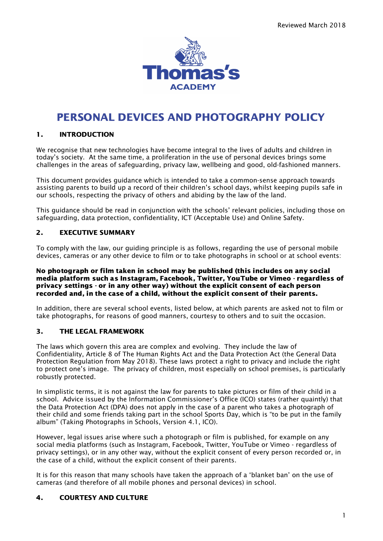

# PERSONAL DEVICES AND PHOTOGRAPHY POLICY

# 1. INTRODUCTION

We recognise that new technologies have become integral to the lives of adults and children in today's society. At the same time, a proliferation in the use of personal devices brings some challenges in the areas of safeguarding, privacy law, wellbeing and good, old-fashioned manners.

This document provides guidance which is intended to take a common-sense approach towards assisting parents to build up a record of their children's school days, whilst keeping pupils safe in our schools, respecting the privacy of others and abiding by the law of the land.

This guidance should be read in conjunction with the schools' relevant policies, including those on safeguarding, data protection, confidentiality, ICT (Acceptable Use) and Online Safety.

# 2. EXECUTIVE SUMMARY

To comply with the law, our guiding principle is as follows, regarding the use of personal mobile devices, cameras or any other device to film or to take photographs in school or at school events:

#### No photograph or film taken in school may be published (this includes on any social media platform such as Instagram, Facebook, Twitter, YouTube or Vimeo - regardless of privacy settings - or in any other way) without the explicit consent of each person recorded and, in the case of a child, without the explicit consent of their parents.

In addition, there are several school events, listed below, at which parents are asked not to film or take photographs, for reasons of good manners, courtesy to others and to suit the occasion.

# 3. THE LEGAL FRAMEWORK

The laws which govern this area are complex and evolving. They include the law of Confidentiality, Article 8 of The Human Rights Act and the Data Protection Act (the General Data Protection Regulation from May 2018). These laws protect a right to privacy and include the right to protect one's image. The privacy of children, most especially on school premises, is particularly robustly protected.

In simplistic terms, it is not against the law for parents to take pictures or film of their child in a school. Advice issued by the Information Commissioner's Office (ICO) states (rather quaintly) that the Data Protection Act (DPA) does not apply in the case of a parent who takes a photograph of their child and some friends taking part in the school Sports Day, which is "to be put in the family album" (Taking Photographs in Schools, Version 4.1, ICO).

However, legal issues arise where such a photograph or film is published, for example on any social media platforms (such as Instagram, Facebook, Twitter, YouTube or Vimeo - regardless of privacy settings), or in any other way, without the explicit consent of every person recorded or, in the case of a child, without the explicit consent of their parents.

It is for this reason that many schools have taken the approach of a 'blanket ban' on the use of cameras (and therefore of all mobile phones and personal devices) in school.

### 4. COURTESY AND CULTURE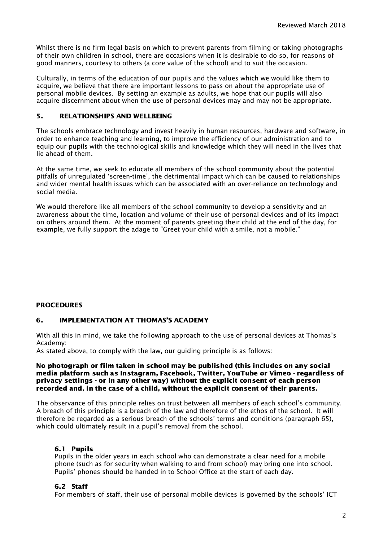Whilst there is no firm legal basis on which to prevent parents from filming or taking photographs of their own children in school, there are occasions when it is desirable to do so, for reasons of good manners, courtesy to others (a core value of the school) and to suit the occasion.

Culturally, in terms of the education of our pupils and the values which we would like them to acquire, we believe that there are important lessons to pass on about the appropriate use of personal mobile devices. By setting an example as adults, we hope that our pupils will also acquire discernment about when the use of personal devices may and may not be appropriate.

### 5. RELATIONSHIPS AND WELLBEING

The schools embrace technology and invest heavily in human resources, hardware and software, in order to enhance teaching and learning, to improve the efficiency of our administration and to equip our pupils with the technological skills and knowledge which they will need in the lives that lie ahead of them.

At the same time, we seek to educate all members of the school community about the potential pitfalls of unregulated 'screen-time', the detrimental impact which can be caused to relationships and wider mental health issues which can be associated with an over-reliance on technology and social media.

We would therefore like all members of the school community to develop a sensitivity and an awareness about the time, location and volume of their use of personal devices and of its impact on others around them. At the moment of parents greeting their child at the end of the day, for example, we fully support the adage to "Greet your child with a smile, not a mobile."

### PROCEDURES

### 6. IMPLEMENTATION AT THOMAS'S ACADEMY

With all this in mind, we take the following approach to the use of personal devices at Thomas's Academy:

As stated above, to comply with the law, our guiding principle is as follows:

#### No photograph or film taken in school may be published (this includes on any social media platform such as Instagram, Facebook, Twitter, YouTube or Vimeo - regardless of privacy settings - or in any other way) without the explicit consent of each person recorded and, in the case of a child, without the explicit consent of their parents.

The observance of this principle relies on trust between all members of each school's community. A breach of this principle is a breach of the law and therefore of the ethos of the school. It will therefore be regarded as a serious breach of the schools' terms and conditions (paragraph 65), which could ultimately result in a pupil's removal from the school.

### 6.1 Pupils

Pupils in the older years in each school who can demonstrate a clear need for a mobile phone (such as for security when walking to and from school) may bring one into school. Pupils' phones should be handed in to School Office at the start of each day.

### 6.2 Staff

For members of staff, their use of personal mobile devices is governed by the schools' ICT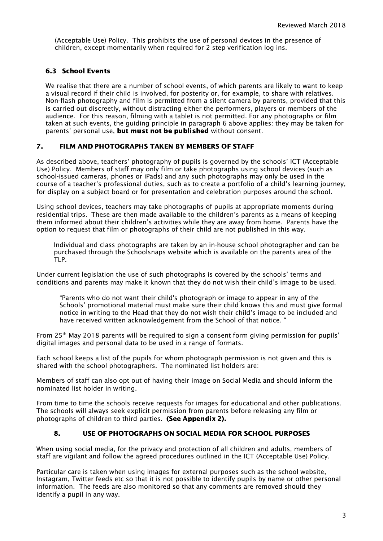(Acceptable Use) Policy. This prohibits the use of personal devices in the presence of children, except momentarily when required for 2 step verification log ins.

# 6.3 School Events

We realise that there are a number of school events, of which parents are likely to want to keep a visual record if their child is involved, for posterity or, for example, to share with relatives. Non-flash photography and film is permitted from a silent camera by parents, provided that this is carried out discreetly, without distracting either the performers, players or members of the audience. For this reason, filming with a tablet is not permitted. For any photographs or film taken at such events, the guiding principle in paragraph 6 above applies: they may be taken for parents' personal use, but must not be published without consent.

# 7. FILM AND PHOTOGRAPHS TAKEN BY MEMBERS OF STAFF

As described above, teachers' photography of pupils is governed by the schools' ICT (Acceptable Use) Policy. Members of staff may only film or take photographs using school devices (such as school-issued cameras, phones or iPads) and any such photographs may only be used in the course of a teacher's professional duties, such as to create a portfolio of a child's learning journey, for display on a subject board or for presentation and celebration purposes around the school.

Using school devices, teachers may take photographs of pupils at appropriate moments during residential trips. These are then made available to the children's parents as a means of keeping them informed about their children's activities while they are away from home. Parents have the option to request that film or photographs of their child are not published in this way.

Individual and class photographs are taken by an in-house school photographer and can be purchased through the Schoolsnaps website which is available on the parents area of the TLP.

Under current legislation the use of such photographs is covered by the schools' terms and conditions and parents may make it known that they do not wish their child's image to be used.

"Parents who do not want their child's photograph or image to appear in any of the Schools' promotional material must make sure their child knows this and must give formal notice in writing to the Head that they do not wish their child's image to be included and have received written acknowledgement from the School of that notice. "

From 25<sup>th</sup> May 2018 parents will be required to sign a consent form giving permission for pupils' digital images and personal data to be used in a range of formats.

Each school keeps a list of the pupils for whom photograph permission is not given and this is shared with the school photographers. The nominated list holders are:

Members of staff can also opt out of having their image on Social Media and should inform the nominated list holder in writing.

From time to time the schools receive requests for images for educational and other publications. The schools will always seek explicit permission from parents before releasing any film or photographs of children to third parties. (See Appendix 2).

# 8. USE OF PHOTOGRAPHS ON SOCIAL MEDIA FOR SCHOOL PURPOSES

When using social media, for the privacy and protection of all children and adults, members of staff are vigilant and follow the agreed procedures outlined in the ICT (Acceptable Use) Policy.

Particular care is taken when using images for external purposes such as the school website, Instagram, Twitter feeds etc so that it is not possible to identify pupils by name or other personal information. The feeds are also monitored so that any comments are removed should they identify a pupil in any way.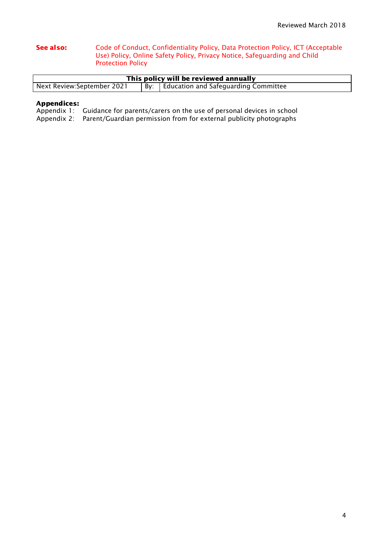#### See also: Code of Conduct, Confidentiality Policy, Data Protection Policy, ICT (Acceptable Use) Policy, Online Safety Policy, Privacy Notice, Safeguarding and Child Protection Policy

| This policy will be reviewed annually |  |                                            |  |  |
|---------------------------------------|--|--------------------------------------------|--|--|
| Next Review:September 2021            |  | By:   Education and Safeguarding Committee |  |  |

# Appendices:

Appendix 1: Guidance for parents/carers on the use of personal devices in school

Appendix 2: Parent/Guardian permission from for external publicity photographs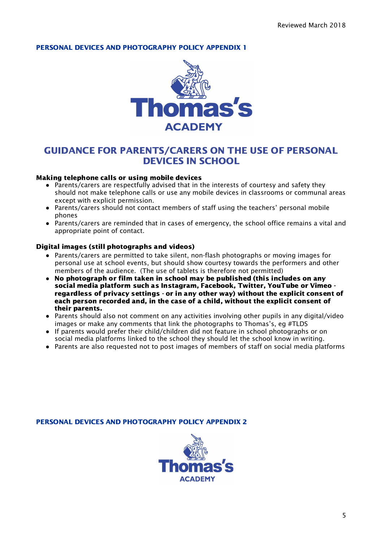# PERSONAL DEVICES AND PHOTOGRAPHY POLICY APPENDIX 1



# GUIDANCE FOR PARENTS/CARERS ON THE USE OF PERSONAL DEVICES IN SCHOOL

# Making telephone calls or using mobile devices

- Parents/carers are respectfully advised that in the interests of courtesy and safety they should not make telephone calls or use any mobile devices in classrooms or communal areas except with explicit permission.
- Parents/carers should not contact members of staff using the teachers' personal mobile phones
- Parents/carers are reminded that in cases of emergency, the school office remains a vital and appropriate point of contact.

### Digital images (still photographs and videos)

- Parents/carers are permitted to take silent, non-flash photographs or moving images for personal use at school events, but should show courtesy towards the performers and other members of the audience. (The use of tablets is therefore not permitted)
- **●** No photograph or film taken in school may be published (this includes on any social media platform such as Instagram, Facebook, Twitter, YouTube or Vimeo regardless of privacy settings - or in any other way) without the explicit consent of each person recorded and, in the case of a child, without the explicit consent of their parents.
- Parents should also not comment on any activities involving other pupils in any digital/video images or make any comments that link the photographs to Thomas's, eg #TLDS
- If parents would prefer their child/children did not feature in school photographs or on social media platforms linked to the school they should let the school know in writing.
- Parents are also requested not to post images of members of staff on social media platforms

### PERSONAL DEVICES AND PHOTOGRAPHY POLICY APPENDIX 2